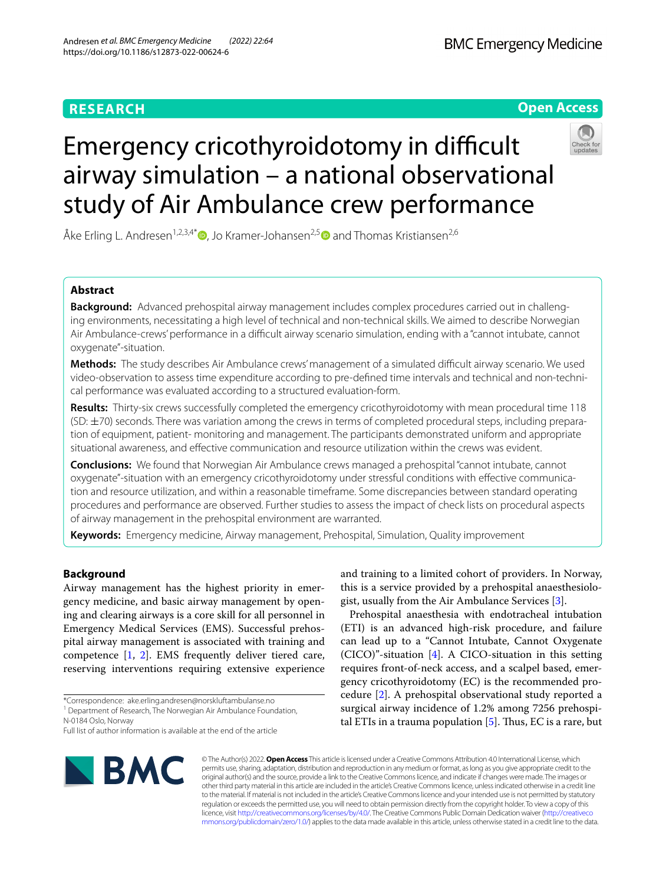# **Open Access**



# Emergency cricothyroidotomy in difficult airway simulation – a national observational study of Air Ambulance crew performance

Åke Erling L. Andresen<sup>1[,](https://orcid.org/0000-0002-5445-0096)2,3,4\*</sup> , Jo Kramer-Johansen<sup>2,[5](https://orcid.org/0000-0002-7881-1757)</sup> and Thomas Kristiansen<sup>2,6</sup>

# **Abstract**

**Background:** Advanced prehospital airway management includes complex procedures carried out in challenging environments, necessitating a high level of technical and non-technical skills. We aimed to describe Norwegian Air Ambulance-crews' performance in a difficult airway scenario simulation, ending with a "cannot intubate, cannot oxygenate"-situation.

**Methods:** The study describes Air Ambulance crews' management of a simulated difficult airway scenario. We used video-observation to assess time expenditure according to pre-defined time intervals and technical and non-technical performance was evaluated according to a structured evaluation-form.

**Results:** Thirty-six crews successfully completed the emergency cricothyroidotomy with mean procedural time 118  $(SD: \pm 70)$  seconds. There was variation among the crews in terms of completed procedural steps, including preparation of equipment, patient- monitoring and management. The participants demonstrated uniform and appropriate situational awareness, and efective communication and resource utilization within the crews was evident.

**Conclusions:** We found that Norwegian Air Ambulance crews managed a prehospital "cannot intubate, cannot oxygenate"-situation with an emergency cricothyroidotomy under stressful conditions with effective communication and resource utilization, and within a reasonable timeframe. Some discrepancies between standard operating procedures and performance are observed. Further studies to assess the impact of check lists on procedural aspects of airway management in the prehospital environment are warranted.

**Keywords:** Emergency medicine, Airway management, Prehospital, Simulation, Quality improvement

# **Background**

Airway management has the highest priority in emergency medicine, and basic airway management by opening and clearing airways is a core skill for all personnel in Emergency Medical Services (EMS). Successful prehospital airway management is associated with training and competence [[1,](#page-6-0) [2](#page-6-1)]. EMS frequently deliver tiered care, reserving interventions requiring extensive experience

and training to a limited cohort of providers. In Norway, this is a service provided by a prehospital anaesthesiologist, usually from the Air Ambulance Services [[3\]](#page-6-2).

Prehospital anaesthesia with endotracheal intubation (ETI) is an advanced high-risk procedure, and failure can lead up to a "Cannot Intubate, Cannot Oxygenate (CICO)"-situation [\[4](#page-6-3)]. A CICO-situation in this setting requires front-of-neck access, and a scalpel based, emergency cricothyroidotomy (EC) is the recommended procedure [[2\]](#page-6-1). A prehospital observational study reported a surgical airway incidence of 1.2% among 7256 prehospital ETIs in a trauma population  $[5]$ . Thus, EC is a rare, but



© The Author(s) 2022. **Open Access** This article is licensed under a Creative Commons Attribution 4.0 International License, which permits use, sharing, adaptation, distribution and reproduction in any medium or format, as long as you give appropriate credit to the original author(s) and the source, provide a link to the Creative Commons licence, and indicate if changes were made. The images or other third party material in this article are included in the article's Creative Commons licence, unless indicated otherwise in a credit line to the material. If material is not included in the article's Creative Commons licence and your intended use is not permitted by statutory regulation or exceeds the permitted use, you will need to obtain permission directly from the copyright holder. To view a copy of this licence, visit [http://creativecommons.org/licenses/by/4.0/.](http://creativecommons.org/licenses/by/4.0/) The Creative Commons Public Domain Dedication waiver ([http://creativeco](http://creativecommons.org/publicdomain/zero/1.0/) [mmons.org/publicdomain/zero/1.0/](http://creativecommons.org/publicdomain/zero/1.0/)) applies to the data made available in this article, unless otherwise stated in a credit line to the data.

<sup>\*</sup>Correspondence: ake.erling.andresen@norskluftambulanse.no

<sup>&</sup>lt;sup>1</sup> Department of Research, The Norwegian Air Ambulance Foundation, N‑0184 Oslo, Norway

Full list of author information is available at the end of the article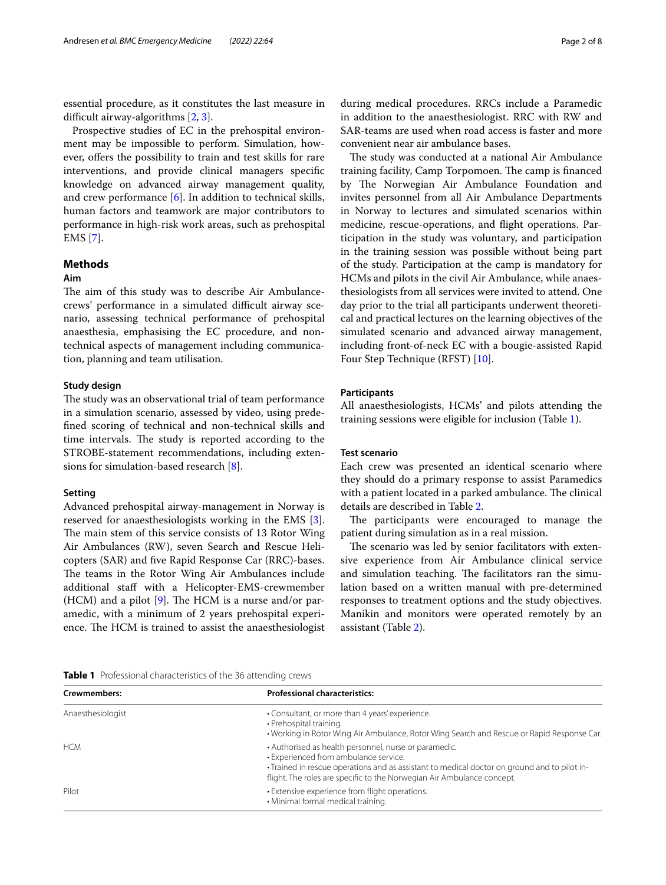essential procedure, as it constitutes the last measure in difficult airway-algorithms  $[2, 3]$  $[2, 3]$  $[2, 3]$  $[2, 3]$ .

Prospective studies of EC in the prehospital environment may be impossible to perform. Simulation, however, offers the possibility to train and test skills for rare interventions, and provide clinical managers specifc knowledge on advanced airway management quality, and crew performance [\[6](#page-6-5)]. In addition to technical skills, human factors and teamwork are major contributors to performance in high-risk work areas, such as prehospital EMS [\[7](#page-6-6)].

## **Methods**

## **Aim**

The aim of this study was to describe Air Ambulancecrews' performance in a simulated difficult airway scenario, assessing technical performance of prehospital anaesthesia, emphasising the EC procedure, and nontechnical aspects of management including communication, planning and team utilisation.

## **Study design**

The study was an observational trial of team performance in a simulation scenario, assessed by video, using predefned scoring of technical and non-technical skills and time intervals. The study is reported according to the STROBE-statement recommendations, including extensions for simulation-based research [[8\]](#page-6-7).

## **Setting**

Advanced prehospital airway-management in Norway is reserved for anaesthesiologists working in the EMS [\[3](#page-6-2)]. The main stem of this service consists of 13 Rotor Wing Air Ambulances (RW), seven Search and Rescue Helicopters (SAR) and fve Rapid Response Car (RRC)-bases. The teams in the Rotor Wing Air Ambulances include additional staff with a Helicopter-EMS-crewmember (HCM) and a pilot  $[9]$  $[9]$ . The HCM is a nurse and/or paramedic, with a minimum of 2 years prehospital experience. The HCM is trained to assist the anaesthesiologist during medical procedures. RRCs include a Paramedic in addition to the anaesthesiologist. RRC with RW and SAR-teams are used when road access is faster and more convenient near air ambulance bases.

The study was conducted at a national Air Ambulance training facility, Camp Torpomoen. The camp is financed by The Norwegian Air Ambulance Foundation and invites personnel from all Air Ambulance Departments in Norway to lectures and simulated scenarios within medicine, rescue-operations, and fight operations. Participation in the study was voluntary, and participation in the training session was possible without being part of the study. Participation at the camp is mandatory for HCMs and pilots in the civil Air Ambulance, while anaesthesiologists from all services were invited to attend. One day prior to the trial all participants underwent theoretical and practical lectures on the learning objectives of the simulated scenario and advanced airway management, including front-of-neck EC with a bougie-assisted Rapid Four Step Technique (RFST) [[10](#page-6-9)].

## **Participants**

All anaesthesiologists, HCMs' and pilots attending the training sessions were eligible for inclusion (Table [1\)](#page-1-0).

## **Test scenario**

Each crew was presented an identical scenario where they should do a primary response to assist Paramedics with a patient located in a parked ambulance. The clinical details are described in Table [2](#page-2-0).

The participants were encouraged to manage the patient during simulation as in a real mission.

The scenario was led by senior facilitators with extensive experience from Air Ambulance clinical service and simulation teaching. The facilitators ran the simulation based on a written manual with pre-determined responses to treatment options and the study objectives. Manikin and monitors were operated remotely by an assistant (Table [2\)](#page-2-0).

#### <span id="page-1-0"></span>**Table 1** Professional characteristics of the 36 attending crews

| Crewmembers:      | <b>Professional characteristics:</b><br>• Consultant, or more than 4 years' experience.<br>• Prehospital training.<br>• Working in Rotor Wing Air Ambulance, Rotor Wing Search and Rescue or Rapid Response Car.                                                         |  |  |  |  |
|-------------------|--------------------------------------------------------------------------------------------------------------------------------------------------------------------------------------------------------------------------------------------------------------------------|--|--|--|--|
| Anaesthesiologist |                                                                                                                                                                                                                                                                          |  |  |  |  |
| <b>HCM</b>        | • Authorised as health personnel, nurse or paramedic.<br>• Experienced from ambulance service.<br>• Trained in rescue operations and as assistant to medical doctor on ground and to pilot in-<br>flight. The roles are specific to the Norwegian Air Ambulance concept. |  |  |  |  |
| Pilot             | • Extensive experience from flight operations.<br>• Minimal formal medical training.                                                                                                                                                                                     |  |  |  |  |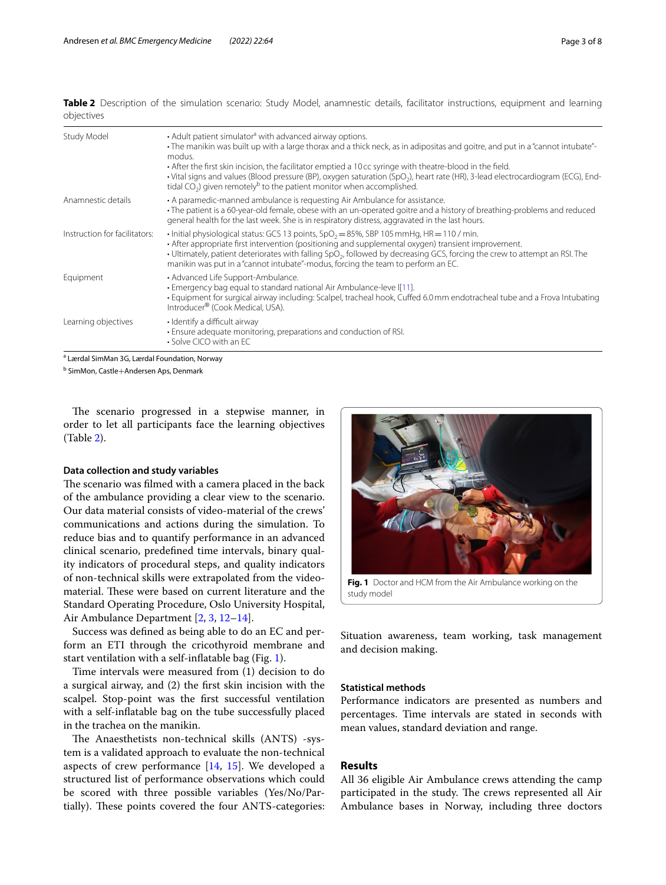<span id="page-2-0"></span>

|            |  |  |  |  | Table 2 Description of the simulation scenario: Study Model, anamnestic details, facilitator instructions, equipment and learning |  |  |
|------------|--|--|--|--|-----------------------------------------------------------------------------------------------------------------------------------|--|--|
| objectives |  |  |  |  |                                                                                                                                   |  |  |

| Study Model                   | • Adult patient simulator <sup>a</sup> with advanced airway options.<br>- The manikin was built up with a large thorax and a thick neck, as in adipositas and goitre, and put in a "cannot intubate"-<br>modus.<br>• After the first skin incision, the facilitator emptied a 10cc syringe with theatre-blood in the field.<br>• Vital signs and values (Blood pressure (BP), oxygen saturation (SpO <sub>2</sub> ), heart rate (HR), 3-lead electrocardiogram (ECG), End-<br>tidal CO <sub>2</sub> ) given remotely <sup>b</sup> to the patient monitor when accomplished. |
|-------------------------------|-----------------------------------------------------------------------------------------------------------------------------------------------------------------------------------------------------------------------------------------------------------------------------------------------------------------------------------------------------------------------------------------------------------------------------------------------------------------------------------------------------------------------------------------------------------------------------|
| Anamnestic details            | • A paramedic-manned ambulance is requesting Air Ambulance for assistance.<br>• The patient is a 60-year-old female, obese with an un-operated goitre and a history of breathing-problems and reduced<br>general health for the last week. She is in respiratory distress, aggravated in the last hours.                                                                                                                                                                                                                                                                    |
| Instruction for facilitators: | $\cdot$ Initial physiological status: GCS 13 points, SpO <sub>2</sub> = 85%, SBP 105 mmHg, HR = 110 / min.<br>• After appropriate first intervention (positioning and supplemental oxygen) transient improvement.<br>• Ultimately, patient deteriorates with falling $SpO2$ , followed by decreasing GCS, forcing the crew to attempt an RSI. The<br>manikin was put in a "cannot intubate"-modus, forcing the team to perform an EC.                                                                                                                                       |
| Equipment                     | • Advanced Life Support-Ambulance.<br>• Emergency bag equal to standard national Air Ambulance-leve I[11].<br>• Equipment for surgical airway including: Scalpel, tracheal hook, Cuffed 6.0 mm endotracheal tube and a Frova Intubating<br>Introducer <sup>®</sup> (Cook Medical, USA).                                                                                                                                                                                                                                                                                     |
| Learning objectives           | • Identify a difficult airway<br>• Ensure adequate monitoring, preparations and conduction of RSI.<br>$\cdot$ Solve CICO with an EC.                                                                                                                                                                                                                                                                                                                                                                                                                                        |

<sup>a</sup> Lærdal SimMan 3G, Lærdal Foundation, Norway

<sup>b</sup> SimMon, Castle+Andersen Aps, Denmark

The scenario progressed in a stepwise manner, in order to let all participants face the learning objectives (Table [2](#page-2-0)).

## **Data collection and study variables**

The scenario was filmed with a camera placed in the back of the ambulance providing a clear view to the scenario. Our data material consists of video-material of the crews' communications and actions during the simulation. To reduce bias and to quantify performance in an advanced clinical scenario, predefned time intervals, binary quality indicators of procedural steps, and quality indicators of non-technical skills were extrapolated from the videomaterial. These were based on current literature and the Standard Operating Procedure, Oslo University Hospital, Air Ambulance Department [\[2](#page-6-1), [3,](#page-6-2) [12–](#page-7-0)[14\]](#page-7-1).

Success was defned as being able to do an EC and perform an ETI through the cricothyroid membrane and start ventilation with a self-infatable bag (Fig. [1](#page-2-1)).

Time intervals were measured from (1) decision to do a surgical airway, and (2) the frst skin incision with the scalpel. Stop-point was the frst successful ventilation with a self-infatable bag on the tube successfully placed in the trachea on the manikin.

The Anaesthetists non-technical skills (ANTS) -system is a validated approach to evaluate the non-technical aspects of crew performance  $[14, 15]$  $[14, 15]$  $[14, 15]$  $[14, 15]$ . We developed a structured list of performance observations which could be scored with three possible variables (Yes/No/Partially). These points covered the four ANTS-categories:



<span id="page-2-1"></span>Situation awareness, team working, task management and decision making.

## **Statistical methods**

Performance indicators are presented as numbers and percentages. Time intervals are stated in seconds with mean values, standard deviation and range.

## **Results**

All 36 eligible Air Ambulance crews attending the camp participated in the study. The crews represented all Air Ambulance bases in Norway, including three doctors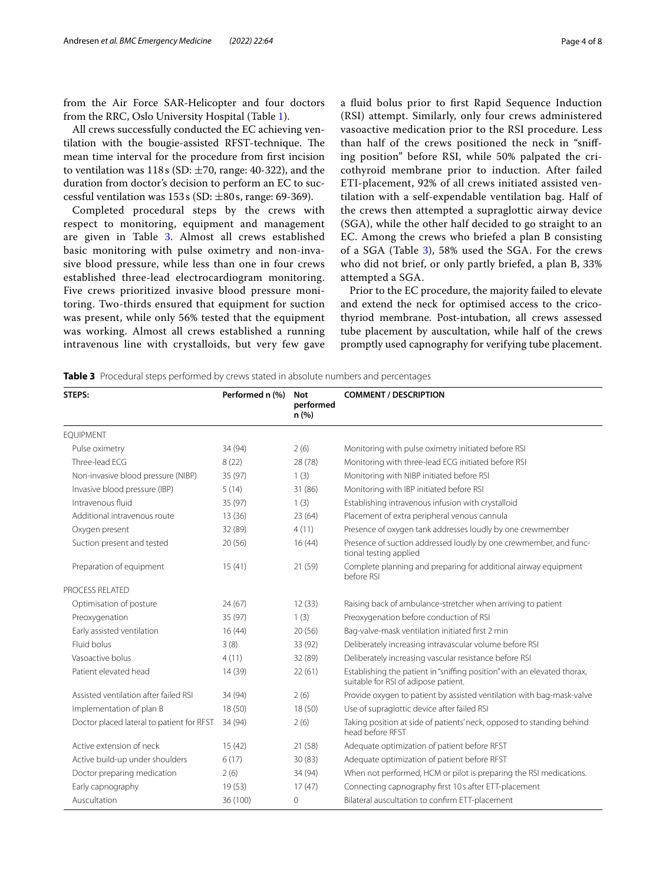from the Air Force SAR-Helicopter and four doctors from the RRC, Oslo University Hospital (Table [1\)](#page-1-0).

All crews successfully conducted the EC achieving ventilation with the bougie-assisted RFST-technique. The mean time interval for the procedure from frst incision to ventilation was  $118s$  (SD:  $\pm$ 70, range: 40-322), and the duration from doctor's decision to perform an EC to successful ventilation was  $153s$  (SD:  $\pm 80s$ , range: 69-369).

Completed procedural steps by the crews with respect to monitoring, equipment and management are given in Table [3](#page-3-0). Almost all crews established basic monitoring with pulse oximetry and non-invasive blood pressure, while less than one in four crews established three-lead electrocardiogram monitoring. Five crews prioritized invasive blood pressure monitoring. Two-thirds ensured that equipment for suction was present, while only 56% tested that the equipment was working. Almost all crews established a running intravenous line with crystalloids, but very few gave a fuid bolus prior to frst Rapid Sequence Induction (RSI) attempt. Similarly, only four crews administered vasoactive medication prior to the RSI procedure. Less than half of the crews positioned the neck in "snifing position" before RSI, while 50% palpated the cricothyroid membrane prior to induction. After failed ETI-placement, 92% of all crews initiated assisted ventilation with a self-expendable ventilation bag. Half of the crews then attempted a supraglottic airway device (SGA), while the other half decided to go straight to an EC. Among the crews who briefed a plan B consisting of a SGA (Table [3](#page-3-0)), 58% used the SGA. For the crews who did not brief, or only partly briefed, a plan B, 33% attempted a SGA.

Prior to the EC procedure, the majority failed to elevate and extend the neck for optimised access to the cricothyriod membrane. Post-intubation, all crews assessed tube placement by auscultation, while half of the crews promptly used capnography for verifying tube placement.

<span id="page-3-0"></span>**Table 3** Procedural steps performed by crews stated in absolute numbers and percentages

| STEPS:                                    | Performed n (%) | <b>Not</b><br>performed<br>n(% ) | <b>COMMENT / DESCRIPTION</b>                                                                                     |
|-------------------------------------------|-----------------|----------------------------------|------------------------------------------------------------------------------------------------------------------|
| <b>EOUIPMENT</b>                          |                 |                                  |                                                                                                                  |
| Pulse oximetry                            | 34 (94)         | 2(6)                             | Monitoring with pulse oximetry initiated before RSI                                                              |
| Three-lead ECG                            | 8(22)           | 28 (78)                          | Monitoring with three-lead ECG initiated before RSI                                                              |
| Non-invasive blood pressure (NIBP)        | 35 (97)         | 1(3)                             | Monitoring with NIBP initiated before RSI                                                                        |
| Invasive blood pressure (IBP)             | 5(14)           | 31 (86)                          | Monitoring with IBP initiated before RSI                                                                         |
| Intravenous fluid                         | 35 (97)         | 1(3)                             | Establishing intravenous infusion with crystalloid                                                               |
| Additional intravenous route              | 13(36)          | 23(64)                           | Placement of extra peripheral venous cannula                                                                     |
| Oxygen present                            | 32 (89)         | 4(11)                            | Presence of oxygen tank addresses loudly by one crewmember                                                       |
| Suction present and tested                | 20(56)          | 16(44)                           | Presence of suction addressed loudly by one crewmember, and func-<br>tional testing applied                      |
| Preparation of equipment                  | 15(41)          | 21 (59)                          | Complete planning and preparing for additional airway equipment<br>before RSI                                    |
| PROCESS RELATED                           |                 |                                  |                                                                                                                  |
| Optimisation of posture                   | 24(67)          | 12(33)                           | Raising back of ambulance-stretcher when arriving to patient                                                     |
| Preoxygenation                            | 35 (97)         | 1(3)                             | Preoxygenation before conduction of RSI                                                                          |
| Early assisted ventilation                | 16(44)          | 20(56)                           | Bag-valve-mask ventilation initiated first 2 min                                                                 |
| Fluid bolus                               | 3(8)            | 33 (92)                          | Deliberately increasing intravascular volume before RSI                                                          |
| Vasoactive bolus                          | 4(11)           | 32 (89)                          | Deliberately increasing vascular resistance before RSI                                                           |
| Patient elevated head                     | 14 (39)         | 22(61)                           | Establishing the patient in "sniffing position" with an elevated thorax,<br>suitable for RSI of adipose patient. |
| Assisted ventilation after failed RSI     | 34 (94)         | 2(6)                             | Provide oxygen to patient by assisted ventilation with bag-mask-valve                                            |
| Implementation of plan B                  | 18(50)          | 18 (50)                          | Use of supraglottic device after failed RSI                                                                      |
| Doctor placed lateral to patient for RFST | 34 (94)         | 2(6)                             | Taking position at side of patients' neck, opposed to standing behind<br>head before RFST                        |
| Active extension of neck                  | 15(42)          | 21 (58)                          | Adequate optimization of patient before RFST                                                                     |
| Active build-up under shoulders           | 6(17)           | 30(83)                           | Adequate optimization of patient before RFST                                                                     |
| Doctor preparing medication               | 2(6)            | 34 (94)                          | When not performed, HCM or pilot is preparing the RSI medications.                                               |
| Early capnography                         | 19(53)          | 17(47)                           | Connecting capnography first 10s after ETT-placement                                                             |
| Auscultation                              | 36 (100)        | 0                                | Bilateral auscultation to confirm ETT-placement                                                                  |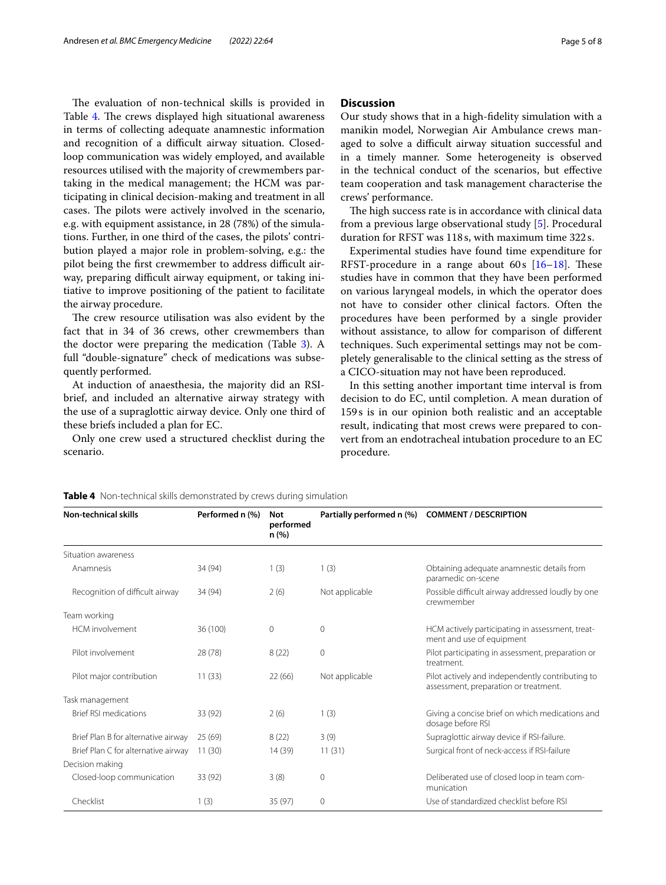The evaluation of non-technical skills is provided in Table [4](#page-4-0). The crews displayed high situational awareness in terms of collecting adequate anamnestic information and recognition of a difficult airway situation. Closedloop communication was widely employed, and available resources utilised with the majority of crewmembers partaking in the medical management; the HCM was participating in clinical decision-making and treatment in all cases. The pilots were actively involved in the scenario, e.g. with equipment assistance, in 28 (78%) of the simulations. Further, in one third of the cases, the pilots' contribution played a major role in problem-solving, e.g.: the pilot being the first crewmember to address difficult airway, preparing difficult airway equipment, or taking initiative to improve positioning of the patient to facilitate the airway procedure.

The crew resource utilisation was also evident by the fact that in 34 of 36 crews, other crewmembers than the doctor were preparing the medication (Table [3](#page-3-0)). A full "double-signature" check of medications was subsequently performed.

At induction of anaesthesia, the majority did an RSIbrief, and included an alternative airway strategy with the use of a supraglottic airway device. Only one third of these briefs included a plan for EC.

Only one crew used a structured checklist during the scenario.

## **Discussion**

Our study shows that in a high-fdelity simulation with a manikin model, Norwegian Air Ambulance crews managed to solve a difficult airway situation successful and in a timely manner. Some heterogeneity is observed in the technical conduct of the scenarios, but efective team cooperation and task management characterise the crews' performance.

The high success rate is in accordance with clinical data from a previous large observational study [[5\]](#page-6-4). Procedural duration for RFST was 118s, with maximum time 322s.

Experimental studies have found time expenditure for RFST-procedure in a range about  $60s$  [[16–](#page-7-4)[18](#page-7-5)]. These studies have in common that they have been performed on various laryngeal models, in which the operator does not have to consider other clinical factors. Often the procedures have been performed by a single provider without assistance, to allow for comparison of diferent techniques. Such experimental settings may not be completely generalisable to the clinical setting as the stress of a CICO-situation may not have been reproduced.

In this setting another important time interval is from decision to do EC, until completion. A mean duration of 159s is in our opinion both realistic and an acceptable result, indicating that most crews were prepared to convert from an endotracheal intubation procedure to an EC procedure.

| <b>Non-technical skills</b>          | Performed n (%) | <b>Not</b><br>performed<br>n (%) |                | Partially performed n (%) COMMENT / DESCRIPTION                                           |
|--------------------------------------|-----------------|----------------------------------|----------------|-------------------------------------------------------------------------------------------|
| Situation awareness                  |                 |                                  |                |                                                                                           |
| Anamnesis                            | 34 (94)         | 1(3)                             | 1(3)           | Obtaining adequate anamnestic details from<br>paramedic on-scene                          |
| Recognition of difficult airway      | 34 (94)         | 2(6)                             | Not applicable | Possible difficult airway addressed loudly by one<br>crewmember                           |
| Team working                         |                 |                                  |                |                                                                                           |
| HCM involvement                      | 36 (100)        | 0                                | $\mathbf 0$    | HCM actively participating in assessment, treat-<br>ment and use of equipment             |
| Pilot involvement                    | 28(78)          | 8(22)                            | $\mathbf 0$    | Pilot participating in assessment, preparation or<br>treatment.                           |
| Pilot major contribution             | 11(33)          | 22(66)                           | Not applicable | Pilot actively and independently contributing to<br>assessment, preparation or treatment. |
| Task management                      |                 |                                  |                |                                                                                           |
| <b>Brief RSI medications</b>         | 33 (92)         | 2(6)                             | 1(3)           | Giving a concise brief on which medications and<br>dosage before RSI                      |
| Brief Plan B for alternative airway  | 25(69)          | 8(22)                            | 3(9)           | Supraglottic airway device if RSI-failure.                                                |
| Brief Plan C for alternative airway  | 11(30)          | 14 (39)                          | 11(31)         | Surgical front of neck-access if RSI-failure                                              |
| Decision making                      |                 |                                  |                |                                                                                           |
| 33 (92)<br>Closed-loop communication |                 | 3(8)                             | 0              | Deliberated use of closed loop in team com-<br>munication                                 |
| Checklist                            | 1(3)            | 35 (97)                          | 0              | Use of standardized checklist before RSI                                                  |

<span id="page-4-0"></span>**Table 4** Non-technical skills demonstrated by crews during simulation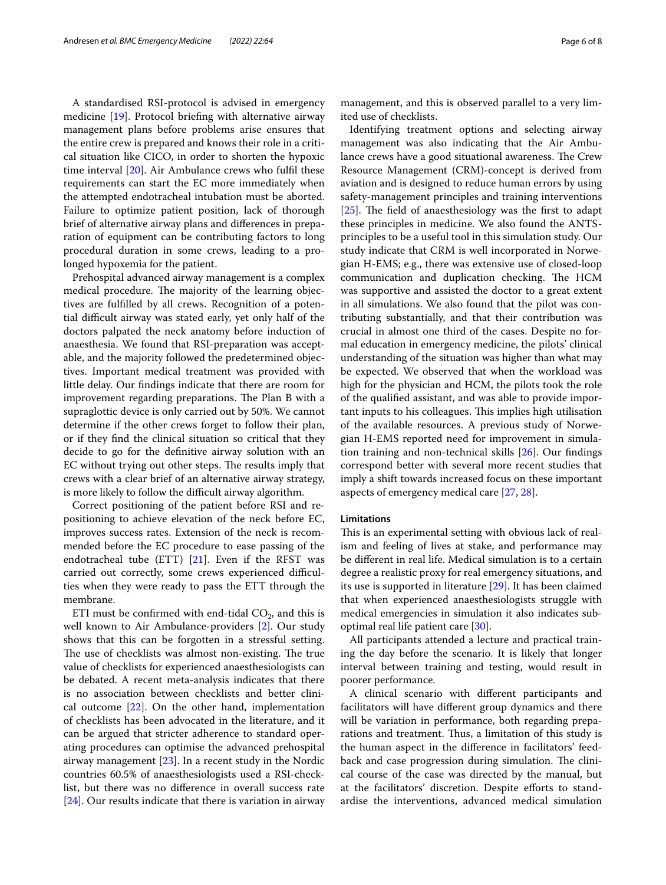A standardised RSI-protocol is advised in emergency medicine [\[19](#page-7-6)]. Protocol briefng with alternative airway management plans before problems arise ensures that the entire crew is prepared and knows their role in a critical situation like CICO, in order to shorten the hypoxic time interval [[20\]](#page-7-7). Air Ambulance crews who fulfl these requirements can start the EC more immediately when the attempted endotracheal intubation must be aborted. Failure to optimize patient position, lack of thorough brief of alternative airway plans and diferences in preparation of equipment can be contributing factors to long procedural duration in some crews, leading to a prolonged hypoxemia for the patient.

Prehospital advanced airway management is a complex medical procedure. The majority of the learning objectives are fulflled by all crews. Recognition of a potential difficult airway was stated early, yet only half of the doctors palpated the neck anatomy before induction of anaesthesia. We found that RSI-preparation was acceptable, and the majority followed the predetermined objectives. Important medical treatment was provided with little delay. Our fndings indicate that there are room for improvement regarding preparations. The Plan B with a supraglottic device is only carried out by 50%. We cannot determine if the other crews forget to follow their plan, or if they fnd the clinical situation so critical that they decide to go for the defnitive airway solution with an EC without trying out other steps. The results imply that crews with a clear brief of an alternative airway strategy, is more likely to follow the difficult airway algorithm.

Correct positioning of the patient before RSI and repositioning to achieve elevation of the neck before EC, improves success rates. Extension of the neck is recommended before the EC procedure to ease passing of the endotracheal tube (ETT)  $[21]$  $[21]$ . Even if the RFST was carried out correctly, some crews experienced difficulties when they were ready to pass the ETT through the membrane.

ETI must be confirmed with end-tidal  $CO_2$ , and this is well known to Air Ambulance-providers [[2\]](#page-6-1). Our study shows that this can be forgotten in a stressful setting. The use of checklists was almost non-existing. The true value of checklists for experienced anaesthesiologists can be debated. A recent meta-analysis indicates that there is no association between checklists and better clinical outcome [\[22](#page-7-9)]. On the other hand, implementation of checklists has been advocated in the literature, and it can be argued that stricter adherence to standard operating procedures can optimise the advanced prehospital airway management [\[23](#page-7-10)]. In a recent study in the Nordic countries 60.5% of anaesthesiologists used a RSI-checklist, but there was no diference in overall success rate [[24\]](#page-7-11). Our results indicate that there is variation in airway management, and this is observed parallel to a very limited use of checklists.

Identifying treatment options and selecting airway management was also indicating that the Air Ambulance crews have a good situational awareness. The Crew Resource Management (CRM)-concept is derived from aviation and is designed to reduce human errors by using safety-management principles and training interventions [ $25$ ]. The field of anaesthesiology was the first to adapt these principles in medicine. We also found the ANTSprinciples to be a useful tool in this simulation study. Our study indicate that CRM is well incorporated in Norwegian H-EMS; e.g., there was extensive use of closed-loop communication and duplication checking. The HCM was supportive and assisted the doctor to a great extent in all simulations. We also found that the pilot was contributing substantially, and that their contribution was crucial in almost one third of the cases. Despite no formal education in emergency medicine, the pilots' clinical understanding of the situation was higher than what may be expected. We observed that when the workload was high for the physician and HCM, the pilots took the role of the qualifed assistant, and was able to provide important inputs to his colleagues. This implies high utilisation of the available resources. A previous study of Norwegian H-EMS reported need for improvement in simulation training and non-technical skills [[26](#page-7-13)]. Our fndings correspond better with several more recent studies that imply a shift towards increased focus on these important aspects of emergency medical care [[27](#page-7-14), [28\]](#page-7-15).

### **Limitations**

This is an experimental setting with obvious lack of realism and feeling of lives at stake, and performance may be diferent in real life. Medical simulation is to a certain degree a realistic proxy for real emergency situations, and its use is supported in literature [[29\]](#page-7-16). It has been claimed that when experienced anaesthesiologists struggle with medical emergencies in simulation it also indicates suboptimal real life patient care [[30](#page-7-17)].

All participants attended a lecture and practical training the day before the scenario. It is likely that longer interval between training and testing, would result in poorer performance.

A clinical scenario with diferent participants and facilitators will have diferent group dynamics and there will be variation in performance, both regarding preparations and treatment. Thus, a limitation of this study is the human aspect in the diference in facilitators' feedback and case progression during simulation. The clinical course of the case was directed by the manual, but at the facilitators' discretion. Despite eforts to standardise the interventions, advanced medical simulation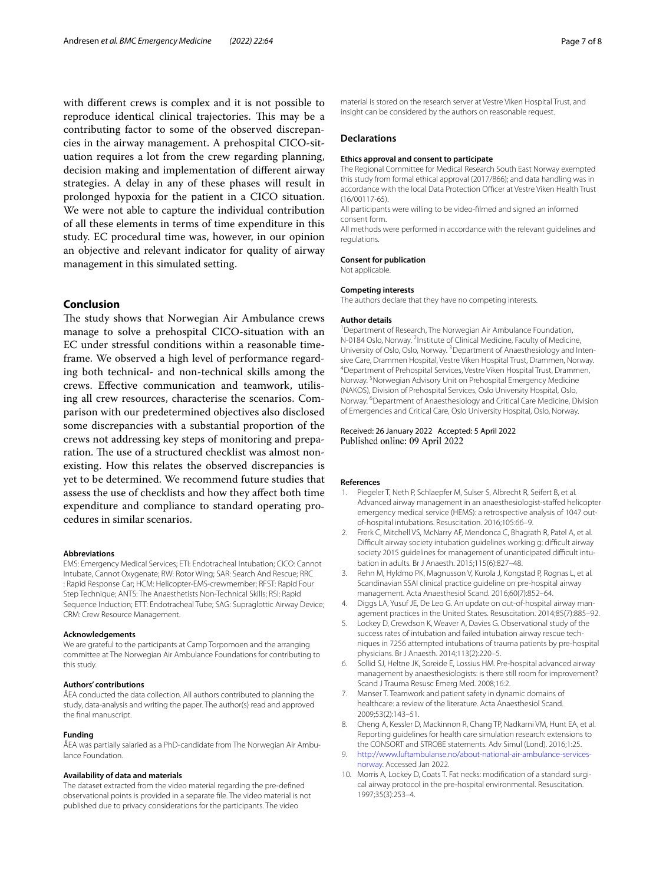with diferent crews is complex and it is not possible to reproduce identical clinical trajectories. This may be a contributing factor to some of the observed discrepancies in the airway management. A prehospital CICO-situation requires a lot from the crew regarding planning, decision making and implementation of diferent airway strategies. A delay in any of these phases will result in prolonged hypoxia for the patient in a CICO situation. We were not able to capture the individual contribution of all these elements in terms of time expenditure in this study. EC procedural time was, however, in our opinion an objective and relevant indicator for quality of airway management in this simulated setting.

## **Conclusion**

The study shows that Norwegian Air Ambulance crews manage to solve a prehospital CICO-situation with an EC under stressful conditions within a reasonable timeframe. We observed a high level of performance regarding both technical- and non-technical skills among the crews. Efective communication and teamwork, utilising all crew resources, characterise the scenarios. Comparison with our predetermined objectives also disclosed some discrepancies with a substantial proportion of the crews not addressing key steps of monitoring and preparation. The use of a structured checklist was almost nonexisting. How this relates the observed discrepancies is yet to be determined. We recommend future studies that assess the use of checklists and how they afect both time expenditure and compliance to standard operating procedures in similar scenarios.

#### **Abbreviations**

EMS: Emergency Medical Services; ETI: Endotracheal Intubation; CICO: Cannot Intubate, Cannot Oxygenate; RW: Rotor Wing; SAR: Search And Rescue; RRC : Rapid Response Car; HCM: Helicopter-EMS-crewmember; RFST: Rapid Four Step Technique; ANTS: The Anaesthetists Non-Technical Skills; RSI: Rapid Sequence Induction; ETT: Endotracheal Tube; SAG: Supraglottic Airway Device; CRM: Crew Resource Management.

#### **Acknowledgements**

We are grateful to the participants at Camp Torpomoen and the arranging committee at The Norwegian Air Ambulance Foundations for contributing to this study.

#### **Authors' contributions**

ÅEA conducted the data collection. All authors contributed to planning the study, data-analysis and writing the paper. The author(s) read and approved the fnal manuscript.

#### **Funding**

ÅEA was partially salaried as a PhD-candidate from The Norwegian Air Ambulance Foundation.

#### **Availability of data and materials**

The dataset extracted from the video material regarding the pre-defned observational points is provided in a separate fle. The video material is not published due to privacy considerations for the participants. The video

material is stored on the research server at Vestre Viken Hospital Trust, and insight can be considered by the authors on reasonable request.

#### **Declarations**

#### **Ethics approval and consent to participate**

The Regional Committee for Medical Research South East Norway exempted this study from formal ethical approval (2017/866); and data handling was in accordance with the local Data Protection Officer at Vestre Viken Health Trust (16/00117-65).

All participants were willing to be video-flmed and signed an informed consent form.

All methods were performed in accordance with the relevant guidelines and regulations.

## **Consent for publication** Not applicable.

### **Competing interests**

The authors declare that they have no competing interests.

#### **Author details**

<sup>1</sup> Department of Research, The Norwegian Air Ambulance Foundation, N-0184 Oslo, Norway. <sup>2</sup>Institute of Clinical Medicine, Faculty of Medicine, University of Oslo, Oslo, Norway.<sup>3</sup> Department of Anaesthesiology and Intensive Care, Drammen Hospital, Vestre Viken Hospital Trust, Drammen, Norway. 4 Department of Prehospital Services, Vestre Viken Hospital Trust, Drammen, Norway. 5 Norwegian Advisory Unit on Prehospital Emergency Medicine (NAKOS), Division of Prehospital Services, Oslo University Hospital, Oslo, Norway. <sup>6</sup> Department of Anaesthesiology and Critical Care Medicine, Division of Emergencies and Critical Care, Oslo University Hospital, Oslo, Norway.

#### Received: 26 January 2022 Accepted: 5 April 2022 Published online: 09 April 2022

#### **References**

- <span id="page-6-0"></span>1. Piegeler T, Neth P, Schlaepfer M, Sulser S, Albrecht R, Seifert B, et al. Advanced airway management in an anaesthesiologist-stafed helicopter emergency medical service (HEMS): a retrospective analysis of 1047 outof-hospital intubations. Resuscitation. 2016;105:66–9.
- <span id="page-6-1"></span>2. Frerk C, Mitchell VS, McNarry AF, Mendonca C, Bhagrath R, Patel A, et al. Difficult airway society intubation guidelines working g: difficult airway society 2015 guidelines for management of unanticipated difficult intubation in adults. Br J Anaesth. 2015;115(6):827–48.
- <span id="page-6-2"></span>3. Rehn M, Hyldmo PK, Magnusson V, Kurola J, Kongstad P, Rognas L, et al. Scandinavian SSAI clinical practice guideline on pre-hospital airway management. Acta Anaesthesiol Scand. 2016;60(7):852–64.
- <span id="page-6-3"></span>4. Diggs LA, Yusuf JE, De Leo G. An update on out-of-hospital airway management practices in the United States. Resuscitation. 2014;85(7):885–92.
- <span id="page-6-4"></span>5. Lockey D, Crewdson K, Weaver A, Davies G. Observational study of the success rates of intubation and failed intubation airway rescue techniques in 7256 attempted intubations of trauma patients by pre-hospital physicians. Br J Anaesth. 2014;113(2):220–5.
- <span id="page-6-5"></span>6. Sollid SJ, Heltne JK, Soreide E, Lossius HM. Pre-hospital advanced airway management by anaesthesiologists: is there still room for improvement? Scand J Trauma Resusc Emerg Med. 2008;16:2.
- <span id="page-6-6"></span>7. Manser T. Teamwork and patient safety in dynamic domains of healthcare: a review of the literature. Acta Anaesthesiol Scand. 2009;53(2):143–51.
- <span id="page-6-7"></span>8. Cheng A, Kessler D, Mackinnon R, Chang TP, Nadkarni VM, Hunt EA, et al. Reporting guidelines for health care simulation research: extensions to the CONSORT and STROBE statements. Adv Simul (Lond). 2016;1:25.
- <span id="page-6-8"></span>9. [http://www.luftambulanse.no/about-national-air-ambulance-services](http://www.luftambulanse.no/about-national-air-ambulance-services-norway) [norway.](http://www.luftambulanse.no/about-national-air-ambulance-services-norway) Accessed Jan 2022.
- <span id="page-6-9"></span>10. Morris A, Lockey D, Coats T. Fat necks: modification of a standard surgical airway protocol in the pre-hospital environmental. Resuscitation. 1997;35(3):253–4.